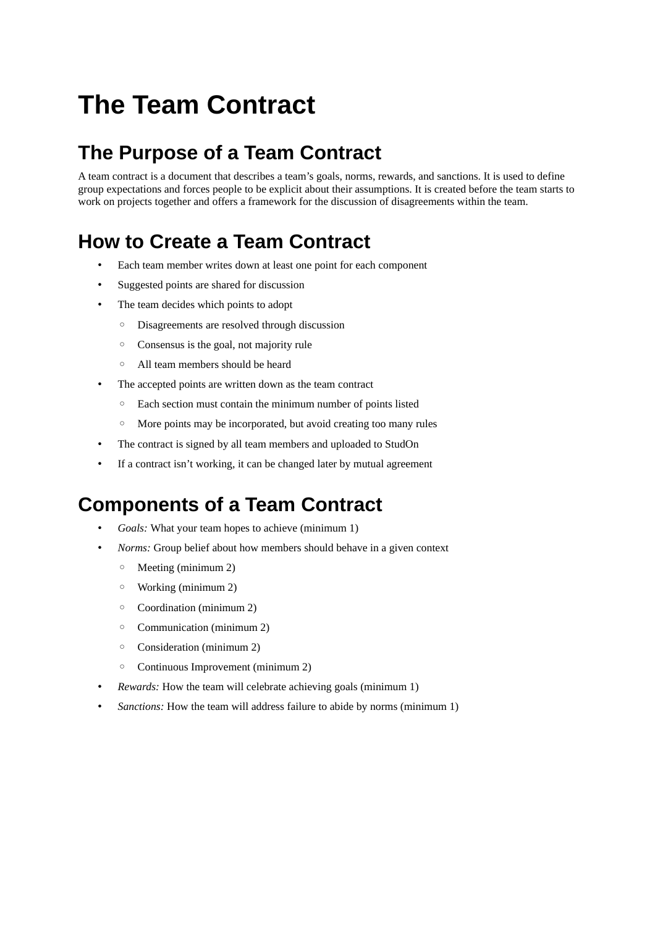# **The Team Contract**

## **The Purpose of a Team Contract**

A team contract is a document that describes a team's goals, norms, rewards, and sanctions. It is used to define group expectations and forces people to be explicit about their assumptions. It is created before the team starts to work on projects together and offers a framework for the discussion of disagreements within the team.

### **How to Create a Team Contract**

- Each team member writes down at least one point for each component
- Suggested points are shared for discussion
- The team decides which points to adopt
	- Disagreements are resolved through discussion
	- Consensus is the goal, not majority rule
	- All team members should be heard
- The accepted points are written down as the team contract
	- Each section must contain the minimum number of points listed
	- More points may be incorporated, but avoid creating too many rules
- The contract is signed by all team members and uploaded to StudOn
- If a contract isn't working, it can be changed later by mutual agreement

### **Components of a Team Contract**

- *Goals:* What your team hopes to achieve (minimum 1)
- *Norms:* Group belief about how members should behave in a given context
	- Meeting (minimum 2)
	- Working (minimum 2)
	- Coordination (minimum 2)
	- Communication (minimum 2)
	- Consideration (minimum 2)
	- Continuous Improvement (minimum 2)
- *Rewards:* How the team will celebrate achieving goals (minimum 1)
- *Sanctions:* How the team will address failure to abide by norms (minimum 1)